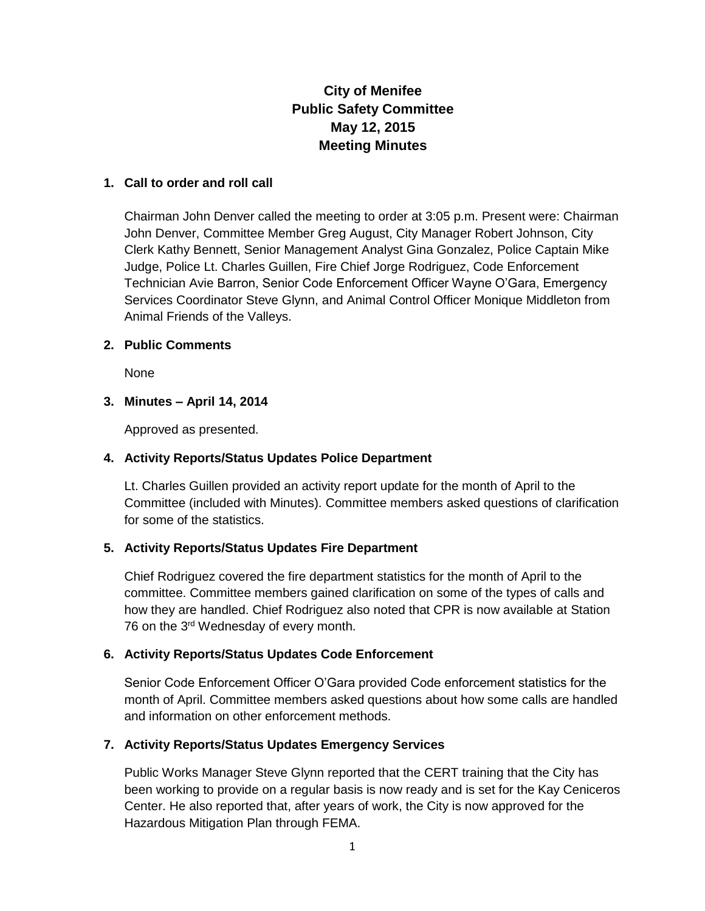# **City of Menifee Public Safety Committee May 12, 2015 Meeting Minutes**

#### **1. Call to order and roll call**

Chairman John Denver called the meeting to order at 3:05 p.m. Present were: Chairman John Denver, Committee Member Greg August, City Manager Robert Johnson, City Clerk Kathy Bennett, Senior Management Analyst Gina Gonzalez, Police Captain Mike Judge, Police Lt. Charles Guillen, Fire Chief Jorge Rodriguez, Code Enforcement Technician Avie Barron, Senior Code Enforcement Officer Wayne O'Gara, Emergency Services Coordinator Steve Glynn, and Animal Control Officer Monique Middleton from Animal Friends of the Valleys.

#### **2. Public Comments**

None

## **3. Minutes – April 14, 2014**

Approved as presented.

#### **4. Activity Reports/Status Updates Police Department**

Lt. Charles Guillen provided an activity report update for the month of April to the Committee (included with Minutes). Committee members asked questions of clarification for some of the statistics.

## **5. Activity Reports/Status Updates Fire Department**

Chief Rodriguez covered the fire department statistics for the month of April to the committee. Committee members gained clarification on some of the types of calls and how they are handled. Chief Rodriguez also noted that CPR is now available at Station 76 on the 3rd Wednesday of every month.

#### **6. Activity Reports/Status Updates Code Enforcement**

Senior Code Enforcement Officer O'Gara provided Code enforcement statistics for the month of April. Committee members asked questions about how some calls are handled and information on other enforcement methods.

## **7. Activity Reports/Status Updates Emergency Services**

Public Works Manager Steve Glynn reported that the CERT training that the City has been working to provide on a regular basis is now ready and is set for the Kay Ceniceros Center. He also reported that, after years of work, the City is now approved for the Hazardous Mitigation Plan through FEMA.